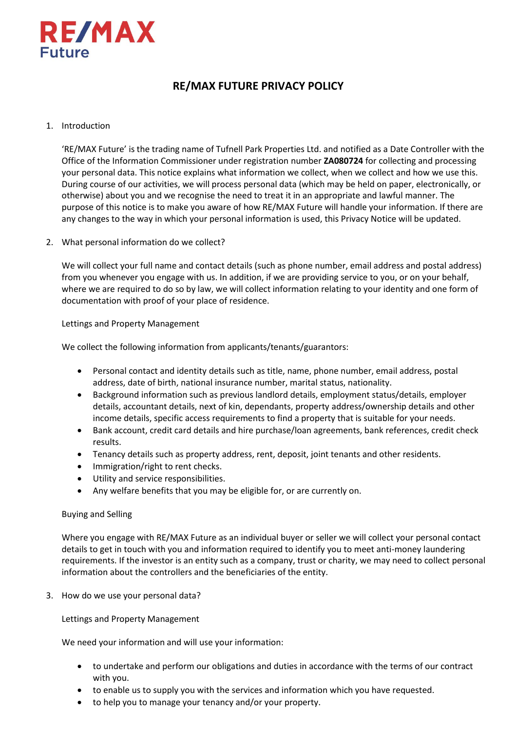

# **RE/MAX FUTURE PRIVACY POLICY**

# 1. Introduction

'RE/MAX Future' is the trading name of Tufnell Park Properties Ltd. and notified as a Date Controller with the Office of the Information Commissioner under registration number **ZA080724** for collecting and processing your personal data. This notice explains what information we collect, when we collect and how we use this. During course of our activities, we will process personal data (which may be held on paper, electronically, or otherwise) about you and we recognise the need to treat it in an appropriate and lawful manner. The purpose of this notice is to make you aware of how RE/MAX Future will handle your information. If there are any changes to the way in which your personal information is used, this Privacy Notice will be updated.

2. What personal information do we collect?

We will collect your full name and contact details (such as phone number, email address and postal address) from you whenever you engage with us. In addition, if we are providing service to you, or on your behalf, where we are required to do so by law, we will collect information relating to your identity and one form of documentation with proof of your place of residence.

Lettings and Property Management

We collect the following information from applicants/tenants/guarantors:

- Personal contact and identity details such as title, name, phone number, email address, postal address, date of birth, national insurance number, marital status, nationality.
- Background information such as previous landlord details, employment status/details, employer details, accountant details, next of kin, dependants, property address/ownership details and other income details, specific access requirements to find a property that is suitable for your needs.
- Bank account, credit card details and hire purchase/loan agreements, bank references, credit check results.
- Tenancy details such as property address, rent, deposit, joint tenants and other residents.
- Immigration/right to rent checks.
- Utility and service responsibilities.
- Any welfare benefits that you may be eligible for, or are currently on.

# Buying and Selling

Where you engage with RE/MAX Future as an individual buyer or seller we will collect your personal contact details to get in touch with you and information required to identify you to meet anti-money laundering requirements. If the investor is an entity such as a company, trust or charity, we may need to collect personal information about the controllers and the beneficiaries of the entity.

3. How do we use your personal data?

Lettings and Property Management

We need your information and will use your information:

- to undertake and perform our obligations and duties in accordance with the terms of our contract with you.
- to enable us to supply you with the services and information which you have requested.
- to help you to manage your tenancy and/or your property.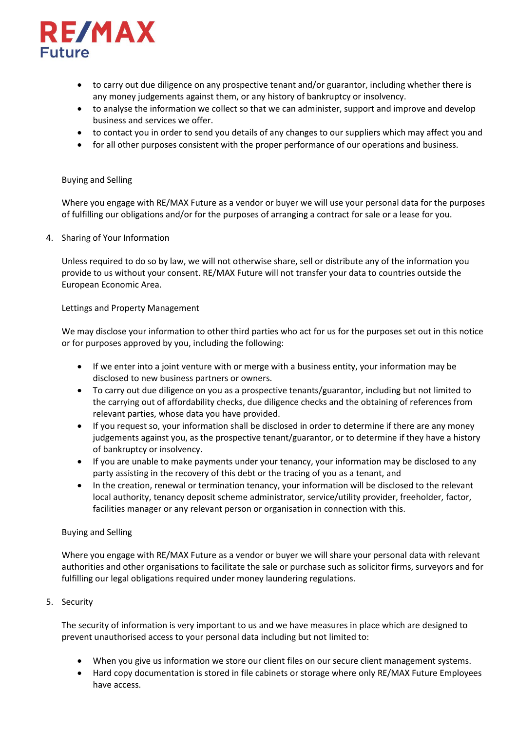

- to carry out due diligence on any prospective tenant and/or guarantor, including whether there is any money judgements against them, or any history of bankruptcy or insolvency.
- to analyse the information we collect so that we can administer, support and improve and develop business and services we offer.
- to contact you in order to send you details of any changes to our suppliers which may affect you and
- for all other purposes consistent with the proper performance of our operations and business.

#### Buying and Selling

Where you engage with RE/MAX Future as a vendor or buyer we will use your personal data for the purposes of fulfilling our obligations and/or for the purposes of arranging a contract for sale or a lease for you.

4. Sharing of Your Information

Unless required to do so by law, we will not otherwise share, sell or distribute any of the information you provide to us without your consent. RE/MAX Future will not transfer your data to countries outside the European Economic Area.

#### Lettings and Property Management

We may disclose your information to other third parties who act for us for the purposes set out in this notice or for purposes approved by you, including the following:

- If we enter into a joint venture with or merge with a business entity, your information may be disclosed to new business partners or owners.
- To carry out due diligence on you as a prospective tenants/guarantor, including but not limited to the carrying out of affordability checks, due diligence checks and the obtaining of references from relevant parties, whose data you have provided.
- If you request so, your information shall be disclosed in order to determine if there are any money judgements against you, as the prospective tenant/guarantor, or to determine if they have a history of bankruptcy or insolvency.
- If you are unable to make payments under your tenancy, your information may be disclosed to any party assisting in the recovery of this debt or the tracing of you as a tenant, and
- In the creation, renewal or termination tenancy, your information will be disclosed to the relevant local authority, tenancy deposit scheme administrator, service/utility provider, freeholder, factor, facilities manager or any relevant person or organisation in connection with this.

# Buying and Selling

Where you engage with RE/MAX Future as a vendor or buyer we will share your personal data with relevant authorities and other organisations to facilitate the sale or purchase such as solicitor firms, surveyors and for fulfilling our legal obligations required under money laundering regulations.

# 5. Security

The security of information is very important to us and we have measures in place which are designed to prevent unauthorised access to your personal data including but not limited to:

- When you give us information we store our client files on our secure client management systems.
- Hard copy documentation is stored in file cabinets or storage where only RE/MAX Future Employees have access.